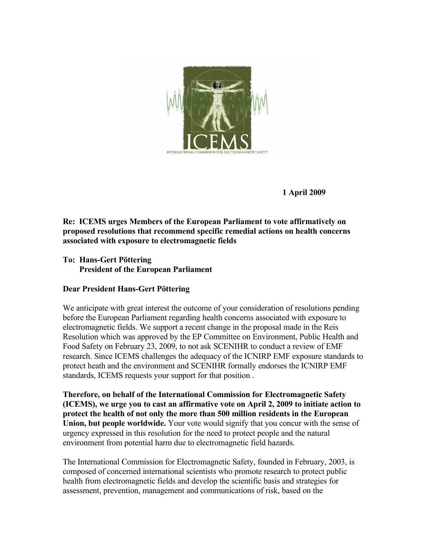

 **1 April 2009**

**Re: ICEMS urges Members of the European Parliament to vote affirmatively on proposed resolutions that recommend specific remedial actions on health concerns associated with exposure to electromagnetic fields**

**To: Hans-Gert Pöttering President of the European Parliament**

# **Dear President Hans-Gert Pöttering**

We anticipate with great interest the outcome of your consideration of resolutions pending before the European Parliament regarding health concerns associated with exposure to electromagnetic fields. We support a recent change in the proposal made in the Reis Resolution which was approved by the EP Committee on Environment, Public Health and Food Safety on February 23, 2009, to not ask SCENIHR to conduct a review of EMF research. Since ICEMS challenges the adequacy of the ICNIRP EMF exposure standards to protect heath and the environment and SCENIHR formally endorses the ICNIRP EMF standards, ICEMS requests your support for that position .

**Therefore, on behalf of the International Commission for Electromagnetic Safety (ICEMS), we urge you to cast an affirmative vote on April 2, 2009 to initiate action to protect the health of not only the more than 500 million residents in the European Union, but people worldwide.** Your vote would signify that you concur with the sense of urgency expressed in this resolution for the need to protect people and the natural environment from potential harm due to electromagnetic field hazards.

The International Commission for Electromagnetic Safety, founded in February, 2003, is composed of concerned international scientists who promote research to protect public health from electromagnetic fields and develop the scientific basis and strategies for assessment, prevention, management and communications of risk, based on the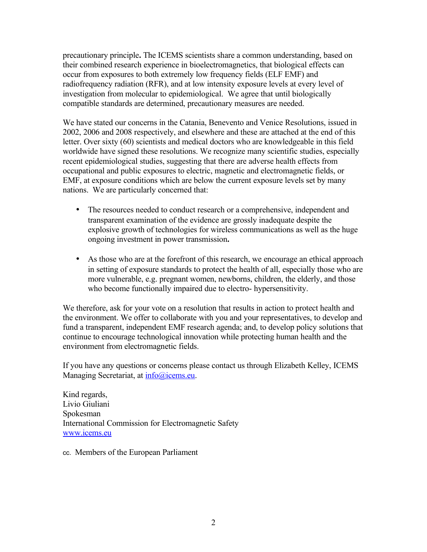precautionary principle**.** The ICEMS scientists share a common understanding, based on their combined research experience in bioelectromagnetics, that biological effects can occur from exposures to both extremely low frequency fields (ELF EMF) and radiofrequency radiation (RFR), and at low intensity exposure levels at every level of investigation from molecular to epidemiological. We agree that until biologically compatible standards are determined, precautionary measures are needed.

We have stated our concerns in the Catania, Benevento and Venice Resolutions, issued in 2002, 2006 and 2008 respectively, and elsewhere and these are attached at the end of this letter. Over sixty (60) scientists and medical doctors who are knowledgeable in this field worldwide have signed these resolutions. We recognize many scientific studies, especially recent epidemiological studies, suggesting that there are adverse health effects from occupational and public exposures to electric, magnetic and electromagnetic fields, or EMF, at exposure conditions which are below the current exposure levels set by many nations. We are particularly concerned that:

- The resources needed to conduct research or a comprehensive, independent and transparent examination of the evidence are grossly inadequate despite the explosive growth of technologies for wireless communications as well as the huge ongoing investment in power transmission**.**
- As those who are at the forefront of this research, we encourage an ethical approach in setting of exposure standards to protect the health of all, especially those who are more vulnerable, e.g. pregnant women, newborns, children, the elderly, and those who become functionally impaired due to electro- hypersensitivity.

We therefore, ask for your vote on a resolution that results in action to protect health and the environment. We offer to collaborate with you and your representatives, to develop and fund a transparent, independent EMF research agenda; and, to develop policy solutions that continue to encourage technological innovation while protecting human health and the environment from electromagnetic fields.

If you have any questions or concerns please contact us through Elizabeth Kelley, ICEMS Managing Secretariat, at **info@icems.eu**.

Kind regards, Livio Giuliani Spokesman International Commission for Electromagnetic Safety [www.icems.eu](http://www.icems.eu/)

cc. Members of the European Parliament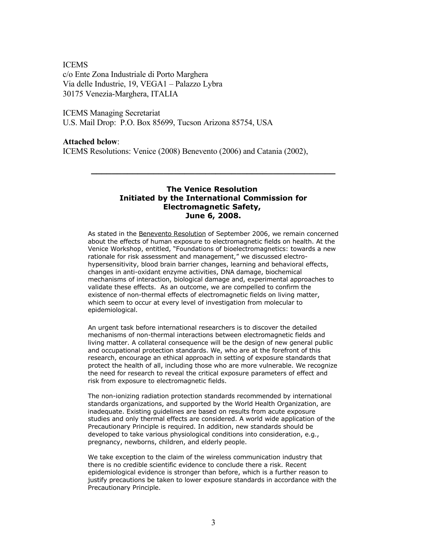### ICEMS

c/o Ente Zona Industriale di Porto Marghera Via delle Industrie, 19, VEGA1 – Palazzo Lybra 30175 Venezia-Marghera, ITALIA

# ICEMS Managing Secretariat

U.S. Mail Drop: P.O. Box 85699, Tucson Arizona 85754, USA

# **Attached below**:

ICEMS Resolutions: Venice (2008) Benevento (2006) and Catania (2002),

### **The Venice Resolution Initiated by the International Commission for Electromagnetic Safety, June 6, 2008.**

**\_\_\_\_\_\_\_\_\_\_\_\_\_\_\_\_\_\_\_\_\_\_\_\_\_\_\_\_\_\_\_\_\_\_\_\_\_\_\_\_\_\_\_\_\_\_\_**

As stated in the [Benevento Resolution](http://www.icems.eu/benevento_resolution.htm) of September 2006, we remain concerned about the effects of human exposure to electromagnetic fields on health. At the Venice Workshop, entitled, "Foundations of bioelectromagnetics: towards a new rationale for risk assessment and management," we discussed electrohypersensitivity, blood brain barrier changes, learning and behavioral effects, changes in anti-oxidant enzyme activities, DNA damage, biochemical mechanisms of interaction, biological damage and, experimental approaches to validate these effects. As an outcome, we are compelled to confirm the existence of non-thermal effects of electromagnetic fields on living matter, which seem to occur at every level of investigation from molecular to epidemiological.

An urgent task before international researchers is to discover the detailed mechanisms of non-thermal interactions between electromagnetic fields and living matter. A collateral consequence will be the design of new general public and occupational protection standards. We, who are at the forefront of this research, encourage an ethical approach in setting of exposure standards that protect the health of all, including those who are more vulnerable. We recognize the need for research to reveal the critical exposure parameters of effect and risk from exposure to electromagnetic fields.

The non-ionizing radiation protection standards recommended by international standards organizations, and supported by the World Health Organization, are inadequate. Existing guidelines are based on results from acute exposure studies and only thermal effects are considered. A world wide application of the Precautionary Principle is required. In addition, new standards should be developed to take various physiological conditions into consideration, e.g., pregnancy, newborns, children, and elderly people.

We take exception to the claim of the wireless communication industry that there is no credible scientific evidence to conclude there a risk. Recent epidemiological evidence is stronger than before, which is a further reason to justify precautions be taken to lower exposure standards in accordance with the Precautionary Principle.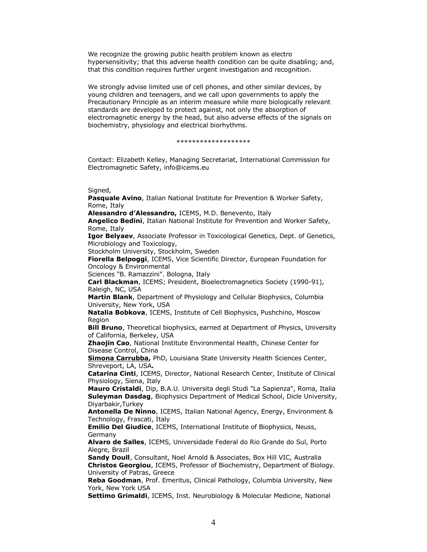We recognize the growing public health problem known as electro hypersensitivity; that this adverse health condition can be quite disabling; and, that this condition requires further urgent investigation and recognition.

We strongly advise limited use of cell phones, and other similar devices, by young children and teenagers, and we call upon governments to apply the Precautionary Principle as an interim measure while more biologically relevant standards are developed to protect against, not only the absorption of electromagnetic energy by the head, but also adverse effects of the signals on biochemistry, physiology and electrical biorhythms.

#### \*\*\*\*\*\*\*\*\*\*\*\*\*\*\*\*\*\*\*

Contact: Elizabeth Kelley, Managing Secretariat, International Commission for Electromagnetic Safety, info@icems.eu

Signed,

**Pasquale Avino**, Italian National Institute for Prevention & Worker Safety, Rome, Italy

**Alessandro d'Alessandro,** ICEMS, M.D. Benevento, Italy

**Angelico Bedini**, Italian National Institute for Prevention and Worker Safety, Rome, Italy

**Igor Belyaev**, Associate Professor in Toxicological Genetics, Dept. of Genetics, Microbiology and Toxicology,

Stockholm University, Stockholm, Sweden

**Fiorella Belpoggi**, ICEMS, Vice Scientific Director, European Foundation for Oncology & Environmental

Sciences "B. Ramazzini". Bologna, Italy

**Carl Blackman**, ICEMS; President, Bioelectromagnetics Society (1990-91), Raleigh, NC, USA

**Martin Blank**, Department of Physiology and Cellular Biophysics, Columbia University, New York, USA

**Natalia Bobkova**, ICEMS, Institute of Cell Biophysics, Pushchino, Moscow Region

**Bill Bruno**, Theoretical biophysics, earned at Department of Physics, University of California, Berkeley, USA

**Zhaojin Cao**, National Institute Environmental Health, Chinese Center for Disease Control, China

**[Simona Carrubba,](http://www.icems.eu/docs/bio_carrubba.pdf)** PhD, Louisiana State University Health Sciences Center, Shreveport, LA, USA**.**

**Catarina Cinti**, ICEMS, Director, National Research Center, Institute of Clinical Physiology, Siena, Italy

**Mauro Cristaldi**, Dip, B.A.U. Universita degli Studi "La Sapienza", Roma, Italia **Suleyman Dasdag**, Biophysics Department of Medical School, Dicle University, Diyarbakir,Turkey

**Antonella De Ninno**, ICEMS, Italian National Agency, Energy, Environment & Technology, Frascati, Italy

**Emilio Del Giudice**, ICEMS, International Institute of Biophysics, Neuss, Germany

**Alvaro de Salles**, ICEMS, Universidade Federal do Rio Grande do Sul, Porto Alegre, Brazil

**Sandy Doull**, Consultant, Noel Arnold & Associates, Box Hill VIC, Australia **Christos Georgiou**, ICEMS, Professor of Biochemistry, Department of Biology. University of Patras, Greece

**Reba Goodman**, Prof. Emeritus, Clinical Pathology, Columbia University, New York, New York USA

**Settimo Grimaldi**, ICEMS, Inst. Neurobiology & Molecular Medicine, National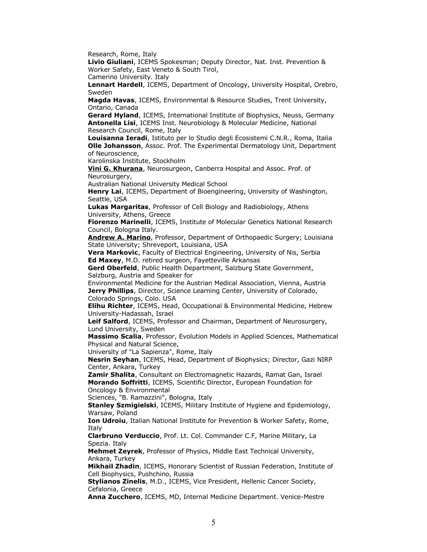Research, Rome, Italy

**Livio Giuliani**, ICEMS Spokesman; Deputy Director, Nat. Inst. Prevention & Worker Safety, East Veneto & South Tirol,

Camerino University. Italy

**Lennart Hardell**, ICEMS, Department of Oncology, University Hospital, Orebro, Sweden

**Magda Havas**, ICEMS, Environmental & Resource Studies, Trent University, Ontario, Canada

**Gerard Hyland**, ICEMS, International Institute of Biophysics, Neuss, Germany **Antonella Lisi**, ICEMS Inst. Neurobiology & Molecular Medicine, National Research Council, Rome, Italy

**Louisanna Ieradi**, Istituto per lo Studio degli Ecosistemi C.N.R., Roma, Italia **Olle Johansson**, Assoc. Prof. The Experimental Dermatology Unit, Department of Neuroscience,

Karolinska Institute, Stockholm

**[Vini G. Khurana](http://www.icems.eu/docs/bios_Khurana.pdf)**, Neurosurgeon, Canberra Hospital and Assoc. Prof. of Neurosurgery,

Australian National University Medical School

**Henry Lai**, ICEMS, Department of Bioengineering, University of Washington, Seattle, USA

**Lukas Margaritas**, Professor of Cell Biology and Radiobiology, Athens University, Athens, Greece

**Fiorenzo Marinelli**, ICEMS, Institute of Molecular Genetics National Research Council, Bologna Italy.

**[Andrew A. Marino](http://www.icems.eu/docs/bio_marino.pdf)**, Professor, Department of Orthopaedic Surgery; Louisiana State University; Shreveport, Louisiana, USA

**Vera Markovic**, Faculty of Electrical Engineering, University of Nis, Serbia **Ed Maxey**, M.D. retired surgeon, Fayetteville Arkansas

**Gerd Oberfeld**, Public Health Department, Salzburg State Government, Salzburg, Austria and Speaker for

Environmental Medicine for the Austrian Medical Association, Vienna, Austria **Jerry Phillips**, Director, Science Learning Center, University of Colorado, Colorado Springs, Colo. USA

**Elihu Richter**, ICEMS, Head, Occupational & Environmental Medicine, Hebrew University-Hadassah, Israel

**Leif Salford**, ICEMS, Professor and Chairman, Department of Neurosurgery, Lund University, Sweden

**Massimo Scalia**, Professor, Evolution Models in Applied Sciences, Mathematical Physical and Natural Science,

University of "La Sapienza", Rome, Italy

**Nesrin Seyhan**, ICEMS, Head, Department of Biophysics; Director, Gazi NIRP Center, Ankara, Turkey

**Zamir Shalita**, Consultant on Electromagnetic Hazards, Ramat Gan, Israel **Morando Soffritti**, ICEMS, Scientific Director, European Foundation for Oncology & Environmental

Sciences, "B. Ramazzini", Bologna, Italy

**Stanley Szmigielski**, ICEMS, Military Institute of Hygiene and Epidemiology, Warsaw, Poland

**Ion Udroiu**, Italian National Institute for Prevention & Worker Safety, Rome, Italy

**Clarbruno Verduccio**, Prof. Lt. Col. Commander C.F, Marine Military, La Spezia. Italy

**Mehmet Zeyrek**, Professor of Physics, Middle East Technical University, Ankara, Turkey

**Mikhail Zhadin**, ICEMS, Honorary Scientist of Russian Federation, Institute of Cell Biophysics, Pushchino, Russia

**Stylianos Zinelis**, M.D., ICEMS, Vice President, Hellenic Cancer Society, Cefalonia, Greece

**Anna Zucchero**, ICEMS, MD, Internal Medicine Department. Venice-Mestre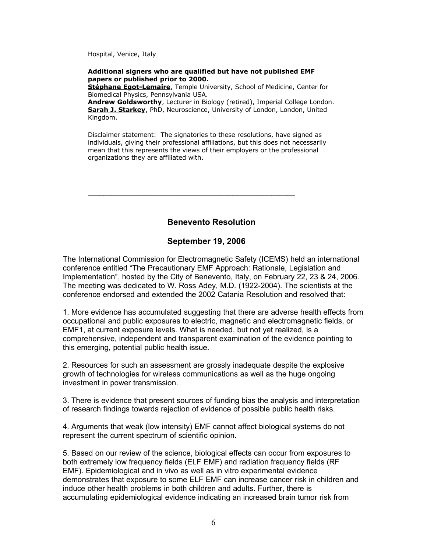Hospital, Venice, Italy

### **Additional signers who are qualified but have not published EMF papers or published prior to 2000.**

**[Stéphane Egot-Lemaire](http://www.icems.eu/docs/bio_egot_lemaire.pdf)**, Temple University, School of Medicine, Center for Biomedical Physics, Pennsylvania USA.

**Andrew Goldsworthy**, Lecturer in Biology (retired), Imperial College London. **[Sarah J. Starkey](http://www.icems.eu/docs/venice/bio_starkey.pdf)**, PhD, Neuroscience, University of London, London, United Kingdom.

Disclaimer statement: The signatories to these resolutions, have signed as individuals, giving their professional affiliations, but this does not necessarily mean that this represents the views of their employers or the professional organizations they are affiliated with.

 **Benevento Resolution**

# **September 19, 2006**

\_\_\_\_\_\_\_\_\_\_\_\_\_\_\_\_\_\_\_\_\_\_\_\_\_\_\_\_\_\_\_\_\_\_\_\_\_\_\_\_\_\_\_\_\_\_\_\_\_\_\_\_\_

The International Commission for Electromagnetic Safety (ICEMS) held an international conference entitled "The Precautionary EMF Approach: Rationale, Legislation and Implementation", hosted by the City of Benevento, Italy, on February 22, 23 & 24, 2006. The meeting was dedicated to W. Ross Adey, M.D. (1922-2004). The scientists at the conference endorsed and extended the 2002 Catania Resolution and resolved that:

1. More evidence has accumulated suggesting that there are adverse health effects from occupational and public exposures to electric, magnetic and electromagnetic fields, or EMF1, at current exposure levels. What is needed, but not yet realized, is a comprehensive, independent and transparent examination of the evidence pointing to this emerging, potential public health issue.

2. Resources for such an assessment are grossly inadequate despite the explosive growth of technologies for wireless communications as well as the huge ongoing investment in power transmission.

3. There is evidence that present sources of funding bias the analysis and interpretation of research findings towards rejection of evidence of possible public health risks.

4. Arguments that weak (low intensity) EMF cannot affect biological systems do not represent the current spectrum of scientific opinion.

5. Based on our review of the science, biological effects can occur from exposures to both extremely low frequency fields (ELF EMF) and radiation frequency fields (RF EMF). Epidemiological and in vivo as well as in vitro experimental evidence demonstrates that exposure to some ELF EMF can increase cancer risk in children and induce other health problems in both children and adults. Further, there is accumulating epidemiological evidence indicating an increased brain tumor risk from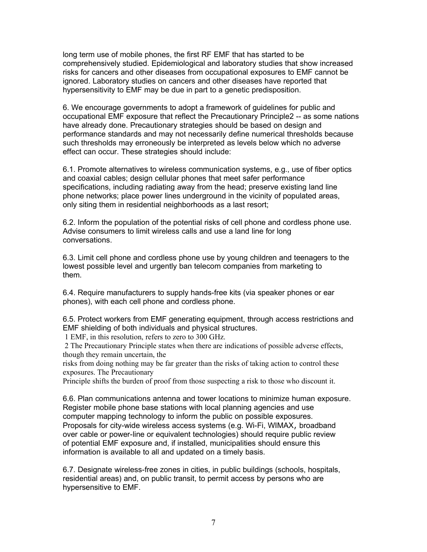long term use of mobile phones, the first RF EMF that has started to be comprehensively studied. Epidemiological and laboratory studies that show increased risks for cancers and other diseases from occupational exposures to EMF cannot be ignored. Laboratory studies on cancers and other diseases have reported that hypersensitivity to EMF may be due in part to a genetic predisposition.

6. We encourage governments to adopt a framework of guidelines for public and occupational EMF exposure that reflect the Precautionary Principle2 -- as some nations have already done. Precautionary strategies should be based on design and performance standards and may not necessarily define numerical thresholds because such thresholds may erroneously be interpreted as levels below which no adverse effect can occur. These strategies should include:

6.1. Promote alternatives to wireless communication systems, e.g., use of fiber optics and coaxial cables; design cellular phones that meet safer performance specifications, including radiating away from the head; preserve existing land line phone networks; place power lines underground in the vicinity of populated areas, only siting them in residential neighborhoods as a last resort;

6.2. Inform the population of the potential risks of cell phone and cordless phone use. Advise consumers to limit wireless calls and use a land line for long conversations.

6.3. Limit cell phone and cordless phone use by young children and teenagers to the lowest possible level and urgently ban telecom companies from marketing to them.

6.4. Require manufacturers to supply hands-free kits (via speaker phones or ear phones), with each cell phone and cordless phone.

6.5. Protect workers from EMF generating equipment, through access restrictions and EMF shielding of both individuals and physical structures.

1 EMF, in this resolution, refers to zero to 300 GHz.

 2 The Precautionary Principle states when there are indications of possible adverse effects, though they remain uncertain, the

risks from doing nothing may be far greater than the risks of taking action to control these exposures. The Precautionary

Principle shifts the burden of proof from those suspecting a risk to those who discount it.

6.6. Plan communications antenna and tower locations to minimize human exposure. Register mobile phone base stations with local planning agencies and use computer mapping technology to inform the public on possible exposures. Proposals for city-wide wireless access systems (e.g. Wi-Fi, WIMAX, broadband over cable or power-line or equivalent technologies) should require public review of potential EMF exposure and, if installed, municipalities should ensure this information is available to all and updated on a timely basis.

6.7. Designate wireless-free zones in cities, in public buildings (schools, hospitals, residential areas) and, on public transit, to permit access by persons who are hypersensitive to EMF.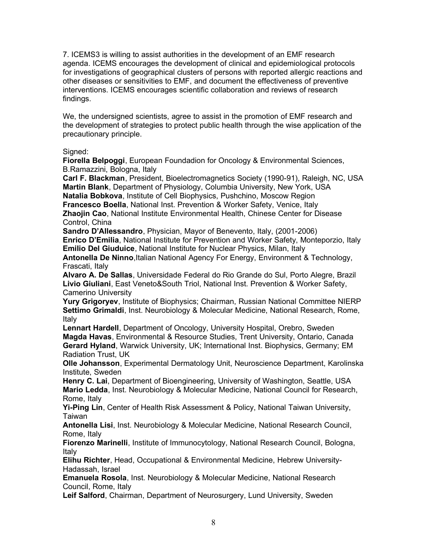7. ICEMS3 is willing to assist authorities in the development of an EMF research agenda. ICEMS encourages the development of clinical and epidemiological protocols for investigations of geographical clusters of persons with reported allergic reactions and other diseases or sensitivities to EMF, and document the effectiveness of preventive interventions. ICEMS encourages scientific collaboration and reviews of research findings.

We, the undersigned scientists, agree to assist in the promotion of EMF research and the development of strategies to protect public health through the wise application of the precautionary principle.

### Signed:

**Fiorella Belpoggi**, European Foundadion for Oncology & Environmental Sciences, B.Ramazzini, Bologna, Italy

**Carl F. Blackman**, President, Bioelectromagnetics Society (1990-91), Raleigh, NC, USA **Martin Blank**, Department of Physiology, Columbia University, New York, USA **Natalia Bobkova**, Institute of Cell Biophysics, Pushchino, Moscow Region **Francesco Boella**, National Inst. Prevention & Worker Safety, Venice, Italy **Zhaojin Cao**, National Institute Environmental Health, Chinese Center for Disease Control, China

**Sandro D'Allessandro**, Physician, Mayor of Benevento, Italy, (2001-2006) **Enrico D'Emilia**, National Institute for Prevention and Worker Safety, Monteporzio, Italy **Emilio Del Giuduice**, National Institute for Nuclear Physics, Milan, Italy

**Antonella De Ninno**,Italian National Agency For Energy, Environment & Technology, Frascati, Italy

**Alvaro A. De Sallas**, Universidade Federal do Rio Grande do Sul, Porto Alegre, Brazil **Livio Giuliani**, East Veneto&South Triol, National Inst. Prevention & Worker Safety, Camerino University

**Yury Grigoryev**, Institute of Biophysics; Chairman, Russian National Committee NIERP **Settimo Grimaldi**, Inst. Neurobiology & Molecular Medicine, National Research, Rome, Italy

**Lennart Hardell**, Department of Oncology, University Hospital, Orebro, Sweden **Magda Havas**, Environmental & Resource Studies, Trent University, Ontario, Canada **Gerard Hyland**, Warwick University, UK; International Inst. Biophysics, Germany; EM Radiation Trust, UK

**Olle Johansson**, Experimental Dermatology Unit, Neuroscience Department, Karolinska Institute, Sweden

**Henry C. Lai**, Department of Bioengineering, University of Washington, Seattle, USA **Mario Ledda**, Inst. Neurobiology & Molecular Medicine, National Council for Research, Rome, Italy

**Yi-Ping Lin**, Center of Health Risk Assessment & Policy, National Taiwan University, Taiwan

**Antonella Lisi**, Inst. Neurobiology & Molecular Medicine, National Research Council, Rome, Italy

**Fiorenzo Marinelli**, Institute of Immunocytology, National Research Council, Bologna, Italy

**Elihu Richter**, Head, Occupational & Environmental Medicine, Hebrew University-Hadassah, Israel

**Emanuela Rosola**, Inst. Neurobiology & Molecular Medicine, National Research Council, Rome, Italy

**Leif Salford**, Chairman, Department of Neurosurgery, Lund University, Sweden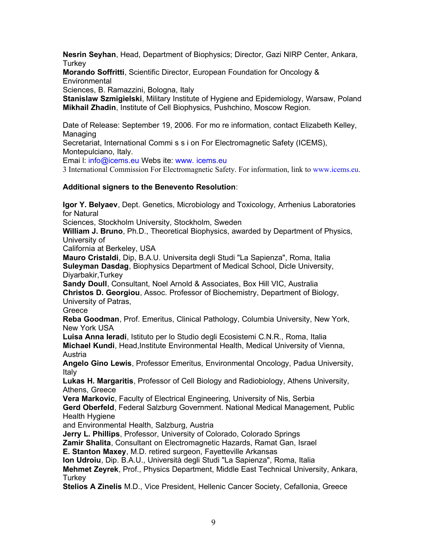**Nesrin Seyhan**, Head, Department of Biophysics; Director, Gazi NIRP Center, Ankara, Turkey

**Morando Soffritti**, Scientific Director, European Foundation for Oncology & **Environmental** 

Sciences, B. Ramazzini, Bologna, Italy

**Stanislaw Szmigielski**, Military Institute of Hygiene and Epidemiology, Warsaw, Poland **Mikhail Zhadin**, Institute of Cell Biophysics, Pushchino, Moscow Region.

Date of Release: September 19, 2006. For mo re information, contact Elizabeth Kelley, Managing

Secretariat, International Commi s s i on For Electromagnetic Safety (ICEMS), Montepulciano, Italy.

Emai l: info@icems.eu Webs ite: www. icems.eu

3 International Commission For Electromagnetic Safety. For information, link to www.icems.eu.

# **Additional signers to the Benevento Resolution**:

**Igor Y. Belyaev**, Dept. Genetics, Microbiology and Toxicology, Arrhenius Laboratories for Natural

Sciences, Stockholm University, Stockholm, Sweden

**William J. Bruno**, Ph.D., Theoretical Biophysics, awarded by Department of Physics, University of

California at Berkeley, USA

**Mauro Cristaldi**, Dip, B.A.U. Universita degli Studi "La Sapienza", Roma, Italia **Suleyman Dasdag**, Biophysics Department of Medical School, Dicle University, Diyarbakir,Turkey

**Sandy Doull**, Consultant, Noel Arnold & Associates, Box Hill VIC, Australia **Christos D. Georgiou**, Assoc. Professor of Biochemistry, Department of Biology, University of Patras,

**Greece** 

**Reba Goodman**, Prof. Emeritus, Clinical Pathology, Columbia University, New York, New York USA

**Luisa Anna Ieradi**, Istituto per lo Studio degli Ecosistemi C.N.R., Roma, Italia **Michael Kundi**, Head,Institute Environmental Health, Medical University of Vienna, Austria

**Angelo Gino Lewis**, Professor Emeritus, Environmental Oncology, Padua University, Italy

**Lukas H. Margaritis**, Professor of Cell Biology and Radiobiology, Athens University, Athens, Greece

**Vera Markovic**, Faculty of Electrical Engineering, University of Nis, Serbia **Gerd Oberfeld**, Federal Salzburg Government. National Medical Management, Public Health Hygiene

and Environmental Health, Salzburg, Austria

**Jerry L. Phillips**, Professor, University of Colorado, Colorado Springs

**Zamir Shalita**, Consultant on Electromagnetic Hazards, Ramat Gan, Israel

**E. Stanton Maxey**, M.D. retired surgeon, Fayetteville Arkansas

**Ion Udroiu**, Dip. B.A.U., Università degli Studi "La Sapienza", Roma, Italia

**Mehmet Zeyrek**, Prof., Physics Department, Middle East Technical University, Ankara, **Turkey** 

**Stelios A Zinelis** M.D., Vice President, Hellenic Cancer Society, Cefallonia, Greece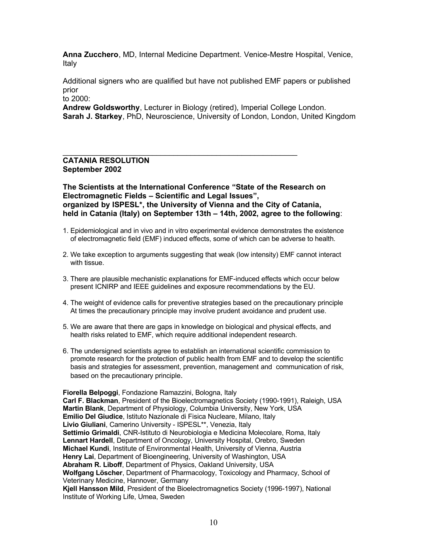**Anna Zucchero**, MD, Internal Medicine Department. Venice-Mestre Hospital, Venice, Italy

Additional signers who are qualified but have not published EMF papers or published prior

to 2000:

**Andrew Goldsworthy**, Lecturer in Biology (retired), Imperial College London. **Sarah J. Starkey**, PhD, Neuroscience, University of London, London, United Kingdom

### **CATANIA RESOLUTION September 2002**

**The Scientists at the International Conference "State of the Research on Electromagnetic Fields – Scientific and Legal Issues", organized by ISPESL\*, the University of Vienna and the City of Catania, held in Catania (Italy) on September 13th – 14th, 2002, agree to the following**:

\_\_\_\_\_\_\_\_\_\_\_\_\_\_\_\_\_\_\_\_\_\_\_\_\_\_\_\_\_\_\_\_\_\_\_\_\_\_\_\_\_\_\_\_\_\_\_\_\_\_\_\_\_\_\_

- 1. Epidemiological and in vivo and in vitro experimental evidence demonstrates the existence of electromagnetic field (EMF) induced effects, some of which can be adverse to health.
- 2. We take exception to arguments suggesting that weak (low intensity) EMF cannot interact with tissue.
- 3. There are plausible mechanistic explanations for EMF-induced effects which occur below present ICNIRP and IEEE guidelines and exposure recommendations by the EU.
- 4. The weight of evidence calls for preventive strategies based on the precautionary principle At times the precautionary principle may involve prudent avoidance and prudent use.
- 5. We are aware that there are gaps in knowledge on biological and physical effects, and health risks related to EMF, which require additional independent research.
- 6. The undersigned scientists agree to establish an international scientific commission to promote research for the protection of public health from EMF and to develop the scientific basis and strategies for assessment, prevention, management and communication of risk, based on the precautionary principle.

**Fiorella Belpoggi**, Fondazione Ramazzini, Bologna, Italy **Carl F. Blackman**, President of the Bioelectromagnetics Society (1990-1991), Raleigh, USA **Martin Blank**, Department of Physiology, Columbia University, New York, USA **Emilio Del Giudice**, Istituto Nazionale di Fisica Nucleare, Milano, Italy **Livio Giuliani**, Camerino University - ISPESL\*\*, Venezia, Italy **Settimio Grimaldi**, CNR-Istituto di Neurobiologia e Medicina Molecolare, Roma, Italy **Lennart Hardell**, Department of Oncology, University Hospital, Orebro, Sweden **Michael Kundi**, Institute of Environmental Health, University of Vienna, Austria **Henry Lai**, Department of Bioengineering, University of Washington, USA **Abraham R. Liboff**, Department of Physics, Oakland University, USA **Wolfgang Löscher**, Department of Pharmacology, Toxicology and Pharmacy, School of Veterinary Medicine, Hannover, Germany **Kjell Hansson Mild**, President of the Bioelectromagnetics Society (1996-1997), National Institute of Working Life, Umea, Sweden